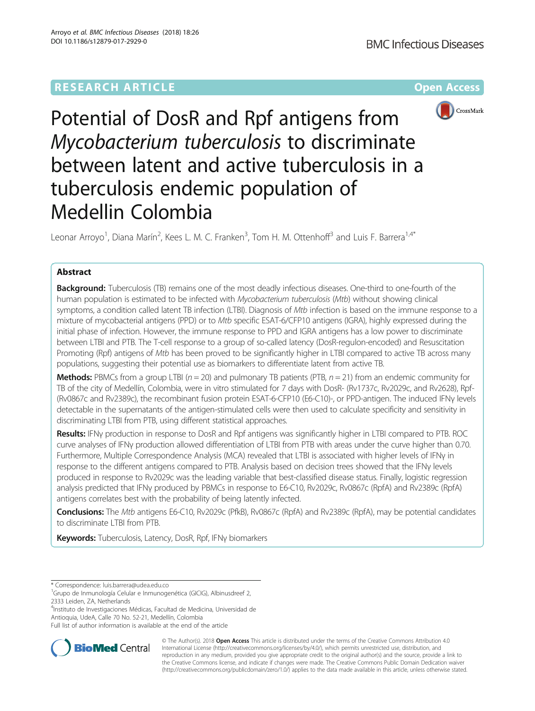# **RESEARCH ARTICLE Example 2014 12:30 The Community Community Community Community Community Community Community**



Potential of DosR and Rpf antigens from Mycobacterium tuberculosis to discriminate between latent and active tuberculosis in a tuberculosis endemic population of Medellin Colombia

Leonar Arroyo<sup>1</sup>, Diana Marín<sup>2</sup>, Kees L. M. C. Franken<sup>3</sup>, Tom H. M. Ottenhoff<sup>3</sup> and Luis F. Barrera<sup>1,4\*</sup>

# Abstract

Background: Tuberculosis (TB) remains one of the most deadly infectious diseases. One-third to one-fourth of the human population is estimated to be infected with Mycobacterium tuberculosis (Mtb) without showing clinical symptoms, a condition called latent TB infection (LTBI). Diagnosis of Mtb infection is based on the immune response to a mixture of mycobacterial antigens (PPD) or to Mtb specific ESAT-6/CFP10 antigens (IGRA), highly expressed during the initial phase of infection. However, the immune response to PPD and IGRA antigens has a low power to discriminate between LTBI and PTB. The T-cell response to a group of so-called latency (DosR-regulon-encoded) and Resuscitation Promoting (Rpf) antigens of Mtb has been proved to be significantly higher in LTBI compared to active TB across many populations, suggesting their potential use as biomarkers to differentiate latent from active TB.

**Methods:** PBMCs from a group LTBI ( $n = 20$ ) and pulmonary TB patients (PTB,  $n = 21$ ) from an endemic community for TB of the city of Medellín, Colombia, were in vitro stimulated for 7 days with DosR- (Rv1737c, Rv2029c, and Rv2628), Rpf- (Rv0867c and Rv2389c), the recombinant fusion protein ESAT-6-CFP10 (E6-C10)-, or PPD-antigen. The induced IFNγ levels detectable in the supernatants of the antigen-stimulated cells were then used to calculate specificity and sensitivity in discriminating LTBI from PTB, using different statistical approaches.

Results: IFNy production in response to DosR and Rpf antigens was significantly higher in LTBI compared to PTB. ROC curve analyses of IFNγ production allowed differentiation of LTBI from PTB with areas under the curve higher than 0.70. Furthermore, Multiple Correspondence Analysis (MCA) revealed that LTBI is associated with higher levels of IFNγ in response to the different antigens compared to PTB. Analysis based on decision trees showed that the IFNγ levels produced in response to Rv2029c was the leading variable that best-classified disease status. Finally, logistic regression analysis predicted that IFNγ produced by PBMCs in response to E6-C10, Rv2029c, Rv0867c (RpfA) and Rv2389c (RpfA) antigens correlates best with the probability of being latently infected.

Conclusions: The Mtb antigens E6-C10, Rv2029c (PfkB), Rv0867c (RpfA) and Rv2389c (RpfA), may be potential candidates to discriminate LTBI from PTB.

Keywords: Tuberculosis, Latency, DosR, Rpf, IFNy biomarkers

<sup>4</sup>Instituto de Investigaciones Médicas, Facultad de Medicina, Universidad de Antioquia, UdeA, Calle 70 No. 52-21, Medellín, Colombia

Full list of author information is available at the end of the article



© The Author(s). 2018 Open Access This article is distributed under the terms of the Creative Commons Attribution 4.0 International License [\(http://creativecommons.org/licenses/by/4.0/](http://creativecommons.org/licenses/by/4.0/)), which permits unrestricted use, distribution, and reproduction in any medium, provided you give appropriate credit to the original author(s) and the source, provide a link to the Creative Commons license, and indicate if changes were made. The Creative Commons Public Domain Dedication waiver [\(http://creativecommons.org/publicdomain/zero/1.0/](http://creativecommons.org/publicdomain/zero/1.0/)) applies to the data made available in this article, unless otherwise stated.

<sup>\*</sup> Correspondence: [luis.barrera@udea.edu.co](mailto:luis.barrera@udea.edu.co) <sup>1</sup>

<sup>&</sup>lt;sup>1</sup>Grupo de Inmunología Celular e Inmunogenética (GICIG), Albinusdreef 2, 2333 Leiden, ZA, Netherlands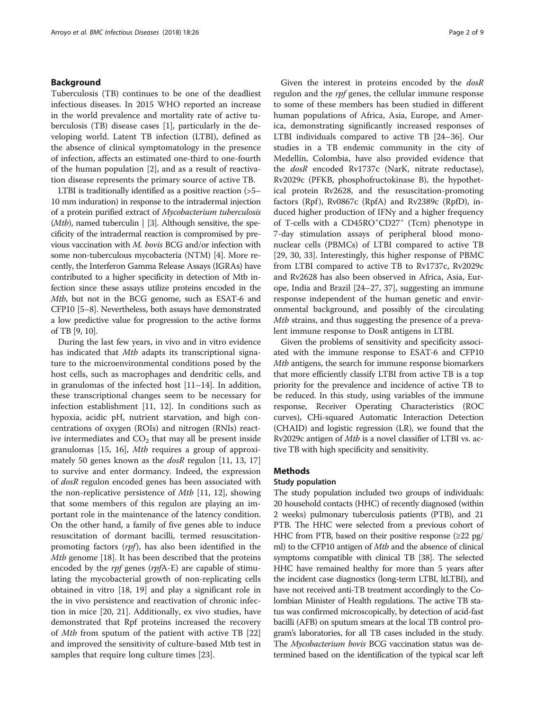# Background

Tuberculosis (TB) continues to be one of the deadliest infectious diseases. In 2015 WHO reported an increase in the world prevalence and mortality rate of active tuberculosis (TB) disease cases [\[1](#page-7-0)], particularly in the developing world. Latent TB infection (LTBI), defined as the absence of clinical symptomatology in the presence of infection, affects an estimated one-third to one-fourth of the human population [[2\]](#page-7-0), and as a result of reactivation disease represents the primary source of active TB.

LTBI is traditionally identified as a positive reaction (>5– 10 mm induration) in response to the intradermal injection of a protein purified extract of Mycobacterium tuberculosis (*Mtb*), named tuberculin  $|$  [\[3\]](#page-7-0). Although sensitive, the specificity of the intradermal reaction is compromised by previous vaccination with M. bovis BCG and/or infection with some non-tuberculous mycobacteria (NTM) [\[4\]](#page-7-0). More recently, the Interferon Gamma Release Assays (IGRAs) have contributed to a higher specificity in detection of Mtb infection since these assays utilize proteins encoded in the Mtb, but not in the BCG genome, such as ESAT-6 and CFP10 [\[5](#page-7-0)–[8](#page-7-0)]. Nevertheless, both assays have demonstrated a low predictive value for progression to the active forms of TB [[9, 10\]](#page-7-0).

During the last few years, in vivo and in vitro evidence has indicated that Mtb adapts its transcriptional signature to the microenvironmental conditions posed by the host cells, such as macrophages and dendritic cells, and in granulomas of the infected host [[11](#page-7-0)–[14\]](#page-7-0). In addition, these transcriptional changes seem to be necessary for infection establishment [\[11](#page-7-0), [12\]](#page-7-0). In conditions such as hypoxia, acidic pH, nutrient starvation, and high concentrations of oxygen (ROIs) and nitrogen (RNIs) reactive intermediates and  $CO<sub>2</sub>$  that may all be present inside granulomas [[15, 16\]](#page-7-0), Mtb requires a group of approxi-mately 50 genes known as the dosR regulon [[11](#page-7-0), [13, 17](#page-7-0)] to survive and enter dormancy. Indeed, the expression of dosR regulon encoded genes has been associated with the non-replicative persistence of Mtb [\[11](#page-7-0), [12\]](#page-7-0), showing that some members of this regulon are playing an important role in the maintenance of the latency condition. On the other hand, a family of five genes able to induce resuscitation of dormant bacilli, termed resuscitationpromoting factors  $(rpf)$ , has also been identified in the Mtb genome [[18\]](#page-7-0). It has been described that the proteins encoded by the *rpf* genes (*rpf*A-E) are capable of stimulating the mycobacterial growth of non-replicating cells obtained in vitro [[18, 19\]](#page-7-0) and play a significant role in the in vivo persistence and reactivation of chronic infection in mice [[20](#page-7-0), [21\]](#page-7-0). Additionally, ex vivo studies, have demonstrated that Rpf proteins increased the recovery of Mtb from sputum of the patient with active TB [[22](#page-8-0)] and improved the sensitivity of culture-based Mtb test in samples that require long culture times [[23\]](#page-8-0).

Given the interest in proteins encoded by the dosR regulon and the *rpf* genes, the cellular immune response to some of these members has been studied in different human populations of Africa, Asia, Europe, and America, demonstrating significantly increased responses of LTBI individuals compared to active TB [\[24](#page-8-0)–[36\]](#page-8-0). Our studies in a TB endemic community in the city of Medellín, Colombia, have also provided evidence that the dosR encoded Rv1737c (NarK, nitrate reductase), Rv2029c (PFKB, phosphofructokinase B), the hypothetical protein Rv2628, and the resuscitation-promoting factors (Rpf), Rv0867c (RpfA) and Rv2389c (RpfD), induced higher production of IFNγ and a higher frequency of T-cells with a CD45RO<sup>+</sup>CD27<sup>+</sup> (Tcm) phenotype in 7-day stimulation assays of peripheral blood mononuclear cells (PBMCs) of LTBI compared to active TB [[29, 30, 33](#page-8-0)]. Interestingly, this higher response of PBMC from LTBI compared to active TB to Rv1737c, Rv2029c and Rv2628 has also been observed in Africa, Asia, Europe, India and Brazil [[24](#page-8-0)–[27](#page-8-0), [37](#page-8-0)], suggesting an immune response independent of the human genetic and environmental background, and possibly of the circulating Mtb strains, and thus suggesting the presence of a prevalent immune response to DosR antigens in LTBI.

Given the problems of sensitivity and specificity associated with the immune response to ESAT-6 and CFP10 Mtb antigens, the search for immune response biomarkers that more efficiently classify LTBI from active TB is a top priority for the prevalence and incidence of active TB to be reduced. In this study, using variables of the immune response, Receiver Operating Characteristics (ROC curves), CHi-squared Automatic Interaction Detection (CHAID) and logistic regression (LR), we found that the Rv2029c antigen of Mtb is a novel classifier of LTBI vs. active TB with high specificity and sensitivity.

# Methods

# Study population

The study population included two groups of individuals: 20 household contacts (HHC) of recently diagnosed (within 2 weeks) pulmonary tuberculosis patients (PTB), and 21 PTB. The HHC were selected from a previous cohort of HHC from PTB, based on their positive response (≥22 pg/ ml) to the CFP10 antigen of *Mtb* and the absence of clinical symptoms compatible with clinical TB [\[38](#page-8-0)]. The selected HHC have remained healthy for more than 5 years after the incident case diagnostics (long-term LTBI, ltLTBI), and have not received anti-TB treatment accordingly to the Colombian Minister of Health regulations. The active TB status was confirmed microscopically, by detection of acid-fast bacilli (AFB) on sputum smears at the local TB control program's laboratories, for all TB cases included in the study. The *Mycobacterium bovis* BCG vaccination status was determined based on the identification of the typical scar left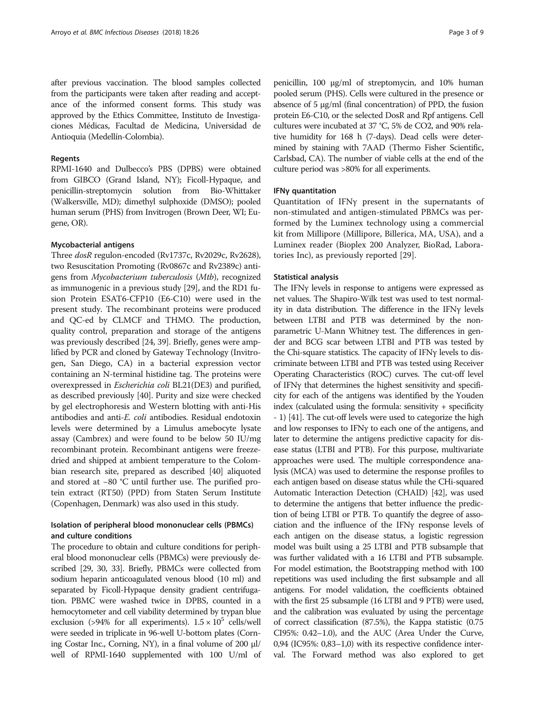after previous vaccination. The blood samples collected from the participants were taken after reading and acceptance of the informed consent forms. This study was approved by the Ethics Committee, Instituto de Investigaciones Médicas, Facultad de Medicina, Universidad de Antioquia (Medellín-Colombia).

### Regents

RPMI-1640 and Dulbecco's PBS (DPBS) were obtained from GIBCO (Grand Island, NY); Ficoll-Hypaque, and penicillin-streptomycin solution from Bio-Whittaker (Walkersville, MD); dimethyl sulphoxide (DMSO); pooled human serum (PHS) from Invitrogen (Brown Deer, WI; Eugene, OR).

## Mycobacterial antigens

Three dosR regulon-encoded (Rv1737c, Rv2029c, Rv2628), two Resuscitation Promoting (Rv0867c and Rv2389c) antigens from Mycobacterium tuberculosis (Mtb), recognized as immunogenic in a previous study [[29](#page-8-0)], and the RD1 fusion Protein ESAT6-CFP10 (E6-C10) were used in the present study. The recombinant proteins were produced and QC-ed by CLMCF and THMO. The production, quality control, preparation and storage of the antigens was previously described [\[24, 39](#page-8-0)]. Briefly, genes were amplified by PCR and cloned by Gateway Technology (Invitrogen, San Diego, CA) in a bacterial expression vector containing an N-terminal histidine tag. The proteins were overexpressed in Escherichia coli BL21(DE3) and purified, as described previously [[40](#page-8-0)]. Purity and size were checked by gel electrophoresis and Western blotting with anti-His antibodies and anti-E. coli antibodies. Residual endotoxin levels were determined by a Limulus amebocyte lysate assay (Cambrex) and were found to be below 50 IU/mg recombinant protein. Recombinant antigens were freezedried and shipped at ambient temperature to the Colombian research site, prepared as described [[40](#page-8-0)] aliquoted and stored at −80 °C until further use. The purified protein extract (RT50) (PPD) from Staten Serum Institute (Copenhagen, Denmark) was also used in this study.

# Isolation of peripheral blood mononuclear cells (PBMCs) and culture conditions

The procedure to obtain and culture conditions for peripheral blood mononuclear cells (PBMCs) were previously described [\[29](#page-8-0), [30](#page-8-0), [33](#page-8-0)]. Briefly, PBMCs were collected from sodium heparin anticoagulated venous blood (10 ml) and separated by Ficoll-Hypaque density gradient centrifugation. PBMC were washed twice in DPBS, counted in a hemocytometer and cell viability determined by trypan blue exclusion (>94% for all experiments).  $1.5 \times 10^5$  cells/well were seeded in triplicate in 96-well U-bottom plates (Corning Costar Inc., Corning, NY), in a final volume of 200 μl/ well of RPMI-1640 supplemented with 100 U/ml of

penicillin, 100 μg/ml of streptomycin, and 10% human pooled serum (PHS). Cells were cultured in the presence or absence of 5 μg/ml (final concentration) of PPD, the fusion protein E6-C10, or the selected DosR and Rpf antigens. Cell cultures were incubated at 37 °C, 5% de CO2, and 90% relative humidity for 168 h (7-days). Dead cells were determined by staining with 7AAD (Thermo Fisher Scientific, Carlsbad, CA). The number of viable cells at the end of the culture period was >80% for all experiments.

### IFNγ quantitation

Quantitation of IFNγ present in the supernatants of non-stimulated and antigen-stimulated PBMCs was performed by the Luminex technology using a commercial kit from Millipore (Millipore, Billerica, MA, USA), and a Luminex reader (Bioplex 200 Analyzer, BioRad, Laboratories Inc), as previously reported [\[29](#page-8-0)].

### Statistical analysis

The IFNγ levels in response to antigens were expressed as net values. The Shapiro-Wilk test was used to test normality in data distribution. The difference in the IFNγ levels between LTBI and PTB was determined by the nonparametric U-Mann Whitney test. The differences in gender and BCG scar between LTBI and PTB was tested by the Chi-square statistics. The capacity of IFNγ levels to discriminate between LTBI and PTB was tested using Receiver Operating Characteristics (ROC) curves. The cut-off level of IFNγ that determines the highest sensitivity and specificity for each of the antigens was identified by the Youden index (calculated using the formula: sensitivity + specificity - 1) [\[41\]](#page-8-0). The cut-off levels were used to categorize the high and low responses to IFNγ to each one of the antigens, and later to determine the antigens predictive capacity for disease status (LTBI and PTB). For this purpose, multivariate approaches were used. The multiple correspondence analysis (MCA) was used to determine the response profiles to each antigen based on disease status while the CHi-squared Automatic Interaction Detection (CHAID) [\[42\]](#page-8-0), was used to determine the antigens that better influence the prediction of being LTBI or PTB. To quantify the degree of association and the influence of the IFNγ response levels of each antigen on the disease status, a logistic regression model was built using a 25 LTBI and PTB subsample that was further validated with a 16 LTBI and PTB subsample. For model estimation, the Bootstrapping method with 100 repetitions was used including the first subsample and all antigens. For model validation, the coefficients obtained with the first 25 subsample (16 LTBI and 9 PTB) were used, and the calibration was evaluated by using the percentage of correct classification (87.5%), the Kappa statistic (0.75 CI95%: 0.42–1.0), and the AUC (Area Under the Curve, 0,94 (IC95%: 0,83–1,0) with its respective confidence interval. The Forward method was also explored to get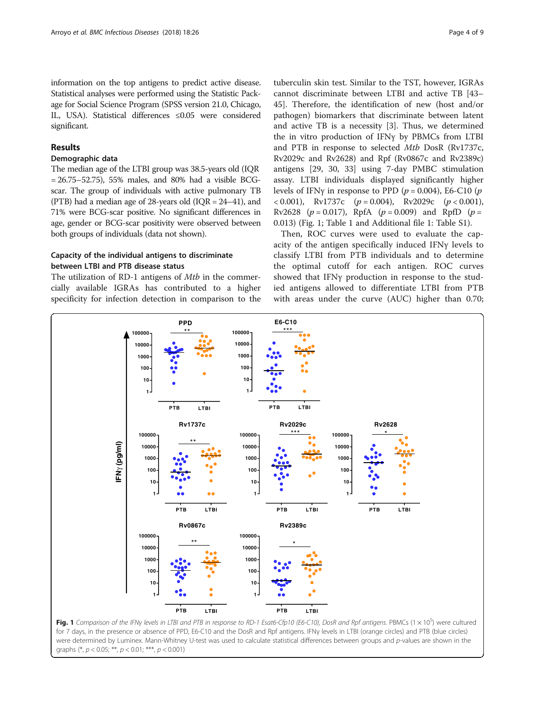information on the top antigens to predict active disease. Statistical analyses were performed using the Statistic Package for Social Science Program (SPSS version 21.0, Chicago, IL, USA). Statistical differences ≤0.05 were considered significant.

# Results

### Demographic data

The median age of the LTBI group was 38.5-years old (IQR  $= 26.75 - 52.75$ ), 55% males, and 80% had a visible BCGscar. The group of individuals with active pulmonary TB (PTB) had a median age of 28-years old (IQR = 24–41), and 71% were BCG-scar positive. No significant differences in age, gender or BCG-scar positivity were observed between both groups of individuals (data not shown).

# Capacity of the individual antigens to discriminate between LTBI and PTB disease status

The utilization of RD-1 antigens of *Mtb* in the commercially available IGRAs has contributed to a higher specificity for infection detection in comparison to the

tuberculin skin test. Similar to the TST, however, IGRAs cannot discriminate between LTBI and active TB [[43](#page-8-0)– [45\]](#page-8-0). Therefore, the identification of new (host and/or pathogen) biomarkers that discriminate between latent and active TB is a necessity [\[3](#page-7-0)]. Thus, we determined the in vitro production of IFNγ by PBMCs from LTBI and PTB in response to selected Mtb DosR (Rv1737c, Rv2029c and Rv2628) and Rpf (Rv0867c and Rv2389c) antigens [[29, 30, 33\]](#page-8-0) using 7-day PMBC stimulation assay. LTBI individuals displayed significantly higher levels of IFNγ in response to PPD ( $p = 0.004$ ), E6-C10 ( $p$  $(0.001)$ , Rv1737c  $(p = 0.004)$ , Rv2029c  $(p < 0.001)$ , Rv2628 ( $p = 0.017$ ), RpfA ( $p = 0.009$ ) and RpfD ( $p =$ 0.013) (Fig. 1; Table [1](#page-4-0) and Additional file [1](#page-7-0): Table S1).

Then, ROC curves were used to evaluate the capacity of the antigen specifically induced IFNγ levels to classify LTBI from PTB individuals and to determine the optimal cutoff for each antigen. ROC curves showed that IFNγ production in response to the studied antigens allowed to differentiate LTBI from PTB with areas under the curve (AUC) higher than 0.70;



graphs  $(*, p < 0.05; **, p < 0.01; **, p < 0.001)$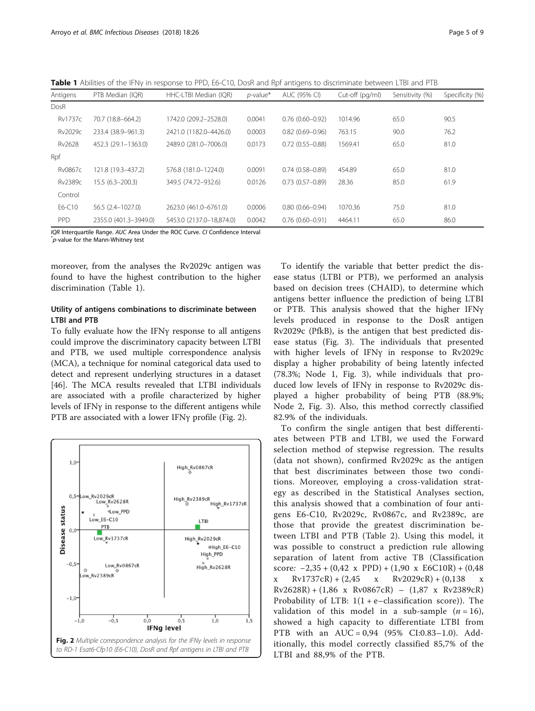<span id="page-4-0"></span>Table 1 Abilities of the IFNy in response to PPD, E6-C10, DosR and Rpf antigens to discriminate between LTBI and PTB

| Antigens       | PTB Median (IOR)      | HHC-LTBI Median (IOR)    | $p$ -value* | AUC (95% CI)        | Cut-off (pg/ml) | Sensitivity (%) | Specificity (%) |
|----------------|-----------------------|--------------------------|-------------|---------------------|-----------------|-----------------|-----------------|
| DosR           |                       |                          |             |                     |                 |                 |                 |
| <b>Rv1737c</b> | 70.7 (18.8-664.2)     | 1742.0 (209.2-2528.0)    | 0.0041      | $0.76(0.60 - 0.92)$ | 1014.96         | 65.0            | 90.5            |
| Rv2029c        | 233.4 (38.9-961.3)    | 2421.0 (1182.0-4426.0)   | 0.0003      | $0.82(0.69 - 0.96)$ | 763.15          | 90.0            | 76.2            |
| Rv2628         | 452.3 (29.1-1363.0)   | 2489.0 (281.0-7006.0)    | 0.0173      | $0.72(0.55 - 0.88)$ | 1569.41         | 65.0            | 81.0            |
| Rpf            |                       |                          |             |                     |                 |                 |                 |
| <b>Rv0867c</b> | 121.8 (19.3-437.2)    | 576.8 (181.0-1224.0)     | 0.0091      | $0.74(0.58 - 0.89)$ | 454.89          | 65.0            | 81.0            |
| Rv2389c        | $15.5(6.3-200.3)$     | 349.5 (74.72-932.6)      | 0.0126      | $0.73(0.57-0.89)$   | 28.36           | 85.0            | 61.9            |
| Control        |                       |                          |             |                     |                 |                 |                 |
| E6-C10         | 56.5 (2.4-1027.0)     | 2623.0 (461.0-6761.0)    | 0.0006      | $0.80(0.66 - 0.94)$ | 1070.36         | 75.0            | 81.0            |
| <b>PPD</b>     | 2355.0 (401.3-3949.0) | 5453.0 (2137.0-18.874.0) | 0.0042      | $0.76(0.60 - 0.91)$ | 4464.11         | 65.0            | 86.0            |

IQR Interquartile Range. AUC Area Under the ROC Curve. CI Confidence Interval

 $p$ -value for the Mann-Whitney test

moreover, from the analyses the Rv2029c antigen was found to have the highest contribution to the higher discrimination (Table 1).

# Utility of antigens combinations to discriminate between LTBI and PTB

To fully evaluate how the IFNγ response to all antigens could improve the discriminatory capacity between LTBI and PTB, we used multiple correspondence analysis (MCA), a technique for nominal categorical data used to detect and represent underlying structures in a dataset [[46\]](#page-8-0). The MCA results revealed that LTBI individuals are associated with a profile characterized by higher levels of IFNγ in response to the different antigens while PTB are associated with a lower IFNγ profile (Fig. 2).



To identify the variable that better predict the disease status (LTBI or PTB), we performed an analysis based on decision trees (CHAID), to determine which antigens better influence the prediction of being LTBI or PTB. This analysis showed that the higher IFNγ levels produced in response to the DosR antigen Rv2029c (PfkB), is the antigen that best predicted disease status (Fig. [3\)](#page-5-0). The individuals that presented with higher levels of IFNγ in response to Rv2029c display a higher probability of being latently infected (78.3%; Node 1, Fig. [3\)](#page-5-0), while individuals that produced low levels of IFNγ in response to Rv2029c displayed a higher probability of being PTB (88.9%; Node 2, Fig. [3](#page-5-0)). Also, this method correctly classified 82.9% of the individuals.

To confirm the single antigen that best differentiates between PTB and LTBI, we used the Forward selection method of stepwise regression. The results (data not shown), confirmed Rv2029c as the antigen that best discriminates between those two conditions. Moreover, employing a cross-validation strategy as described in the Statistical Analyses section, this analysis showed that a combination of four antigens E6-C10, Rv2029c, Rv0867c, and Rv2389c, are those that provide the greatest discrimination between LTBI and PTB (Table [2\)](#page-5-0). Using this model, it was possible to construct a prediction rule allowing separation of latent from active TB (Classification score:  $-2,35 + (0,42 \times \text{PPD}) + (1,90 \times \text{E6C10R}) + (0,48$ x  $Rv1737cR$  + (2,45 x  $Rv2029cR$ ) + (0,138 x  $Rv2628R$  + (1,86 x  $Rv0867cR$ ) – (1,87 x  $Rv2389cR$ ) Probability of LTB:  $1(1 + e - \text{classification score})$ ). The validation of this model in a sub-sample  $(n = 16)$ , showed a high capacity to differentiate LTBI from PTB with an AUC = 0,94 (95% CI:0.83–1.0). Additionally, this model correctly classified 85,7% of the LTBI and 88,9% of the PTB.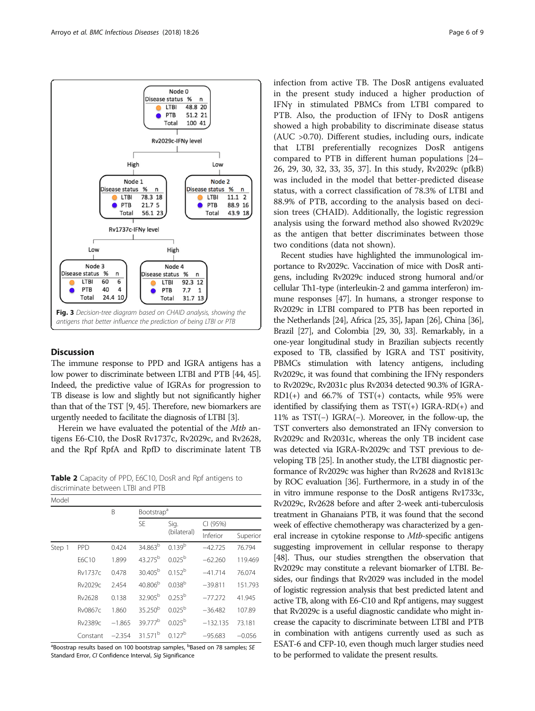<span id="page-5-0"></span>

# **Discussion**

The immune response to PPD and IGRA antigens has a low power to discriminate between LTBI and PTB [[44](#page-8-0), [45](#page-8-0)]. Indeed, the predictive value of IGRAs for progression to TB disease is low and slightly but not significantly higher than that of the TST [\[9,](#page-7-0) [45](#page-8-0)]. Therefore, new biomarkers are urgently needed to facilitate the diagnosis of LTBI [[3](#page-7-0)].

Herein we have evaluated the potential of the Mtb antigens E6-C10, the DosR Rv1737c, Rv2029c, and Rv2628, and the Rpf RpfA and RpfD to discriminate latent TB

Table 2 Capacity of PPD, E6C10, DosR and Rpf antigens to discriminate between LTBI and PTB

| Model  |            |          |                        |                    |            |          |  |  |  |
|--------|------------|----------|------------------------|--------------------|------------|----------|--|--|--|
|        |            | B        | Bootstrap <sup>a</sup> |                    |            |          |  |  |  |
|        |            |          | <b>SE</b>              | Sig.               | CI (95%)   |          |  |  |  |
|        |            |          |                        | (bilateral)        | Inferior   | Superior |  |  |  |
| Step 1 | <b>PPD</b> | 0.424    | 34.863 <sup>b</sup>    | 0.139 <sup>b</sup> | $-42.725$  | 76.794   |  |  |  |
|        | F6C10      | 1.899    | 43 275 <sup>b</sup>    | $0.025^{b}$        | $-62.260$  | 119.469  |  |  |  |
|        | Rv1737c    | 0.478    | 30.405 <sup>b</sup>    | $0.152^{b}$        | $-41.714$  | 76.074   |  |  |  |
|        | Rv2029c    | 2.454    | 40.806 <sup>b</sup>    | 0.038 <sup>b</sup> | $-39.811$  | 151.793  |  |  |  |
|        | Rv2628     | 0.138    | 32.905 <sup>b</sup>    | 0.253 <sup>b</sup> | $-77.272$  | 41.945   |  |  |  |
|        | Rv0867c    | 1.860    | $35.250^{b}$           | $0.025^{b}$        | $-36.482$  | 107.89   |  |  |  |
|        | Rv2389c    | $-1.865$ | 39,777 <sup>b</sup>    | $0.025^{b}$        | $-132.135$ | 73.181   |  |  |  |
|        | Constant   | $-2.354$ | 31.571 <sup>b</sup>    | $0.127^{b}$        | $-95.683$  | $-0.056$ |  |  |  |

<sup>a</sup>Boostrap results based on 100 bootstrap samples, <sup>b</sup>Based on 78 samples; SE<br>Standard Error, *CL* Confidence Interval, Sig Significance Standard Error, CI Confidence Interval, Sig Significance

infection from active TB. The DosR antigens evaluated in the present study induced a higher production of IFNγ in stimulated PBMCs from LTBI compared to PTB. Also, the production of IFNγ to DosR antigens showed a high probability to discriminate disease status (AUC >0.70). Different studies, including ours, indicate that LTBI preferentially recognizes DosR antigens compared to PTB in different human populations [[24](#page-8-0)– [26, 29](#page-8-0), [30, 32](#page-8-0), [33, 35](#page-8-0), [37](#page-8-0)]. In this study, Rv2029c (pfkB) was included in the model that better-predicted disease status, with a correct classification of 78.3% of LTBI and 88.9% of PTB, according to the analysis based on decision trees (CHAID). Additionally, the logistic regression analysis using the forward method also showed Rv2029c as the antigen that better discriminates between those two conditions (data not shown).

Recent studies have highlighted the immunological importance to Rv2029c. Vaccination of mice with DosR antigens, including Rv2029c induced strong humoral and/or cellular Th1-type (interleukin-2 and gamma interferon) immune responses [\[47](#page-8-0)]. In humans, a stronger response to Rv2029c in LTBI compared to PTB has been reported in the Netherlands [\[24\]](#page-8-0), Africa [[25](#page-8-0), [35](#page-8-0)], Japan [\[26](#page-8-0)], China [\[36](#page-8-0)], Brazil [\[27\]](#page-8-0), and Colombia [\[29, 30, 33\]](#page-8-0). Remarkably, in a one-year longitudinal study in Brazilian subjects recently exposed to TB, classified by IGRA and TST positivity, PBMCs stimulation with latency antigens, including Rv2029c, it was found that combining the IFNγ responders to Rv2029c, Rv2031c plus Rv2034 detected 90.3% of IGRA- $RD1(+)$  and 66.7% of TST(+) contacts, while 95% were identified by classifying them as  $TST(+)$  IGRA-RD(+) and 11% as TST(−) IGRA(−). Moreover, in the follow-up, the TST converters also demonstrated an IFNy conversion to Rv2029c and Rv2031c, whereas the only TB incident case was detected via IGRA-Rv2029c and TST previous to developing TB [[25](#page-8-0)]. In another study, the LTBI diagnostic performance of Rv2029c was higher than Rv2628 and Rv1813c by ROC evaluation [\[36\]](#page-8-0). Furthermore, in a study in of the in vitro immune response to the DosR antigens Rv1733c, Rv2029c, Rv2628 before and after 2-week anti-tuberculosis treatment in Ghanaians PTB, it was found that the second week of effective chemotherapy was characterized by a general increase in cytokine response to Mtb-specific antigens suggesting improvement in cellular response to therapy [[48](#page-8-0)]. Thus, our studies strengthen the observation that Rv2029c may constitute a relevant biomarker of LTBI. Besides, our findings that Rv2029 was included in the model of logistic regression analysis that best predicted latent and active TB, along with E6-C10 and Rpf antigens, may suggest that Rv2029c is a useful diagnostic candidate who might increase the capacity to discriminate between LTBI and PTB in combination with antigens currently used as such as ESAT-6 and CFP-10, even though much larger studies need to be performed to validate the present results.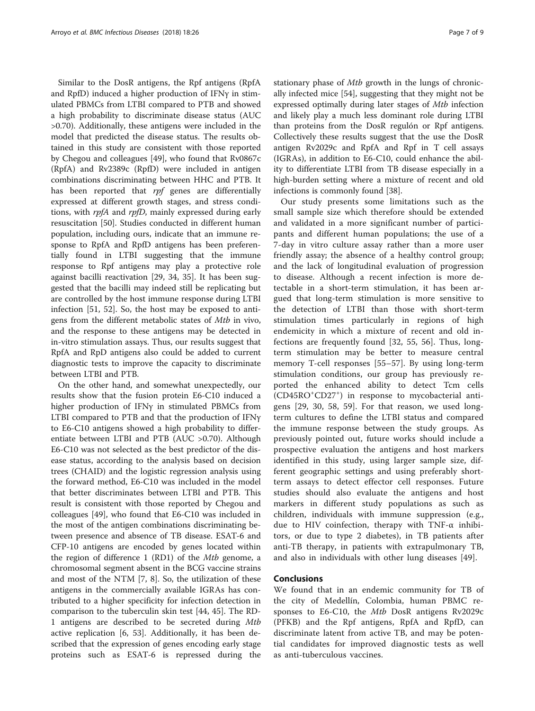Similar to the DosR antigens, the Rpf antigens (RpfA and RpfD) induced a higher production of IFNγ in stimulated PBMCs from LTBI compared to PTB and showed a high probability to discriminate disease status (AUC >0.70). Additionally, these antigens were included in the model that predicted the disease status. The results obtained in this study are consistent with those reported by Chegou and colleagues [[49](#page-8-0)], who found that Rv0867c (RpfA) and Rv2389c (RpfD) were included in antigen combinations discriminating between HHC and PTB. It has been reported that rpf genes are differentially expressed at different growth stages, and stress conditions, with rpfA and rpfD, mainly expressed during early resuscitation [\[50\]](#page-8-0). Studies conducted in different human population, including ours, indicate that an immune response to RpfA and RpfD antigens has been preferentially found in LTBI suggesting that the immune response to Rpf antigens may play a protective role against bacilli reactivation [[29](#page-8-0), [34](#page-8-0), [35](#page-8-0)]. It has been suggested that the bacilli may indeed still be replicating but are controlled by the host immune response during LTBI infection [[51](#page-8-0), [52](#page-8-0)]. So, the host may be exposed to antigens from the different metabolic states of Mtb in vivo, and the response to these antigens may be detected in in-vitro stimulation assays. Thus, our results suggest that RpfA and RpD antigens also could be added to current diagnostic tests to improve the capacity to discriminate between LTBI and PTB.

On the other hand, and somewhat unexpectedly, our results show that the fusion protein E6-C10 induced a higher production of IFNγ in stimulated PBMCs from LTBI compared to PTB and that the production of IFNγ to E6-C10 antigens showed a high probability to differentiate between LTBI and PTB (AUC >0.70). Although E6-C10 was not selected as the best predictor of the disease status, according to the analysis based on decision trees (CHAID) and the logistic regression analysis using the forward method, E6-C10 was included in the model that better discriminates between LTBI and PTB. This result is consistent with those reported by Chegou and colleagues [[49\]](#page-8-0), who found that E6-C10 was included in the most of the antigen combinations discriminating between presence and absence of TB disease. ESAT-6 and CFP-10 antigens are encoded by genes located within the region of difference 1 (RD1) of the Mtb genome, a chromosomal segment absent in the BCG vaccine strains and most of the NTM [[7, 8](#page-7-0)]. So, the utilization of these antigens in the commercially available IGRAs has contributed to a higher specificity for infection detection in comparison to the tuberculin skin test [\[44, 45](#page-8-0)]. The RD-1 antigens are described to be secreted during Mtb active replication [\[6,](#page-7-0) [53\]](#page-8-0). Additionally, it has been described that the expression of genes encoding early stage proteins such as ESAT-6 is repressed during the stationary phase of Mtb growth in the lungs of chronically infected mice [[54\]](#page-8-0), suggesting that they might not be expressed optimally during later stages of Mtb infection and likely play a much less dominant role during LTBI than proteins from the DosR regulón or Rpf antigens. Collectively these results suggest that the use the DosR antigen Rv2029c and RpfA and Rpf in T cell assays (IGRAs), in addition to E6-C10, could enhance the ability to differentiate LTBI from TB disease especially in a high-burden setting where a mixture of recent and old infections is commonly found [\[38\]](#page-8-0).

Our study presents some limitations such as the small sample size which therefore should be extended and validated in a more significant number of participants and different human populations; the use of a 7-day in vitro culture assay rather than a more user friendly assay; the absence of a healthy control group; and the lack of longitudinal evaluation of progression to disease. Although a recent infection is more detectable in a short-term stimulation, it has been argued that long-term stimulation is more sensitive to the detection of LTBI than those with short-term stimulation times particularly in regions of high endemicity in which a mixture of recent and old infections are frequently found [[32, 55, 56](#page-8-0)]. Thus, longterm stimulation may be better to measure central memory T-cell responses [[55](#page-8-0)–[57\]](#page-8-0). By using long-term stimulation conditions, our group has previously reported the enhanced ability to detect Tcm cells (CD45RO<sup>+</sup> CD27<sup>+</sup> ) in response to mycobacterial antigens [\[29](#page-8-0), [30](#page-8-0), [58](#page-8-0), [59](#page-8-0)]. For that reason, we used longterm cultures to define the LTBI status and compared the immune response between the study groups. As previously pointed out, future works should include a prospective evaluation the antigens and host markers identified in this study, using larger sample size, different geographic settings and using preferably shortterm assays to detect effector cell responses. Future studies should also evaluate the antigens and host markers in different study populations as such as children, individuals with immune suppression (e.g., due to HIV coinfection, therapy with TNF-α inhibitors, or due to type 2 diabetes), in TB patients after anti-TB therapy, in patients with extrapulmonary TB, and also in individuals with other lung diseases [[49](#page-8-0)].

# Conclusions

We found that in an endemic community for TB of the city of Medellín, Colombia, human PBMC responses to E6-C10, the Mtb DosR antigens Rv2029c (PFKB) and the Rpf antigens, RpfA and RpfD, can discriminate latent from active TB, and may be potential candidates for improved diagnostic tests as well as anti-tuberculous vaccines.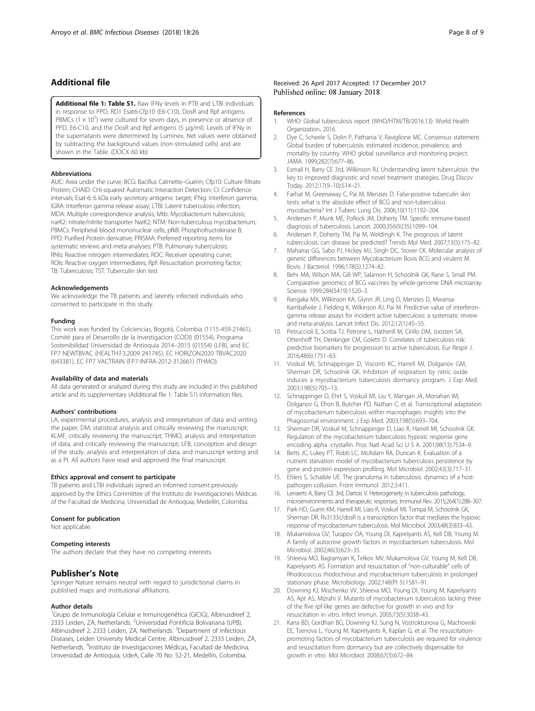# <span id="page-7-0"></span>Additional file

[Additional file 1: Table S1.](dx.doi.org/10.1186/s12879-017-2929-0) Raw IFNγ levels in PTB and LTBI individuals in response to PPD, RD1 Esat6-Cfp10 (E6-C10), DosR and Rpf antigens. PBMCs  $(1 \times 10^5)$  were cultured for seven days, in presence or absence of PPD, E6-C10, and the DosR and Rpf antigens (5 μg/ml). Levels of IFNγ in the supernatants were determined by Luminex. Net values were obtained by subtracting the background values (non-stimulated cells) and are shown in the Table. (DOCX 60 kb)

#### Abbreviations

AUC: Area under the curve; BCG: Bacillus Calmette–Guérin; Cfp10: Culture filtrate Protein; CHAID: CHi-squared Automatic Interaction Detection; CI: Confidence intervals; Esat-6: 6 kDa early secretory antigenic target; IFNg: Interferon gamma; IGRA: Interferon gamma release assay; LTBI: Latent tuberculosis infection; MDA: Multiple correspondence analysis; Mtb: Mycobacterium tuberculosis; narK2: nitrate/nitrite transporter NarK2; NTM: Non-tuberculous mycobacterium; PBMCs: Peripheral blood mononuclear cells; pfkB: Phosphofructokinase B; PPD: Purified Protein derivative; PRISMA: Preferred reporting items for systematic reviews and meta-analyses; PTB: Pulmonary tuberculosis; RNIs: Reactive nitrogen intermediates; ROC: Receiver operating curve; ROIs: Reactive oxygen intermediates; Rpf: Resuscitation promoting factor; TB: Tuberculosis; TST: Tuberculin skin test

#### Acknowledgements

We acknowledge the TB patients and latently infected individuals who consented to participate in this study.

#### Funding

This work was funded by Colciencias, Bogotá, Colombia (1115-459-21461), Comité para el Desarrollo de la Investigacion (CODI) (01554), Programa Sostenibilidad Universidad de Antioquia 2014–2015 (01554) (LFB), and EC FP7 NEWTBVAC (HEALTH.F3.2009 241745), EC HORIZON2020 TBVAC2020 (643381), EC FP7 VACTRAIN (FP7-INFRA-2012-312661) (THMO).

#### Availability of data and materials

All data generated or analyzed during this study are included in this published article and its supplementary (Additional file 1: Table S1) information files.

#### Authors' contributions

LA, experimental procedures, analysis and interpretation of data and writing the paper; DM, statistical analysis and critically reviewing the manuscript; KLMF, critically reviewing the manuscript; THMO, analysis and interpretation of data, and critically reviewing the manuscript; LFB, conception and design of the study, analysis and interpretation of data, and manuscript writing and as a PI. All authors have read and approved the final manuscript.

#### Ethics approval and consent to participate

TB patients and LTBI individuals signed an informed consent previously approved by the Ethics Committee of the Instituto de Investigaciones Médicas of the Facultad de Medicina, Universidad de Antioquia, Medellín, Colombia.

### Consent for publication

Not applicable.

### Competing interests

The authors declare that they have no competing interests.

# Publisher's Note

Springer Nature remains neutral with regard to jurisdictional claims in published maps and institutional affiliations.

### Author details

<sup>1</sup>Grupo de Inmunología Celular e Inmunogenética (GICIG), Albinusdreef 2, 2333 Leiden, ZA, Netherlands. <sup>2</sup>Universidad Pontificia Bolivariana (UPB), Albinusdreef 2, 2333 Leiden, ZA, Netherlands. <sup>3</sup>Department of Infectious Diseases, Leiden University Medical Centre, Albinusdreef 2, 2333 Leiden, ZA, Netherlands. <sup>4</sup>Instituto de Investigaciones Médicas, Facultad de Medicina, Universidad de Antioquia, UdeA, Calle 70 No. 52-21, Medellín, Colombia.

### Received: 26 April 2017 Accepted: 17 December 2017 Published online: 08 January 2018

#### References

- 1. WHO: Global tuberculosis report (WHO/HTM/TB/2016.13): World Health Organization. 2016.
- 2. Dye C, Scheele S, Dolin P, Pathania V, Raviglione MC. Consensus statement. Global burden of tuberculosis: estimated incidence, prevalence, and mortality by country. WHO global surveillance and monitoring project. JAMA. 1999;282(7):677–86.
- 3. Esmail H, Barry CE 3rd, Wilkinson RJ. Understanding latent tuberculosis: the key to improved diagnostic and novel treatment strategies. Drug Discov Today. 2012;17(9–10):514–21.
- 4. Farhat M, Greenaway C, Pai M, Menzies D. False-positive tuberculin skin tests: what is the absolute effect of BCG and non-tuberculous mycobacteria? Int J Tuberc Lung Dis. 2006;10(11):1192–204.
- 5. Andersen P, Munk ME, Pollock JM, Doherty TM. Specific immune-based diagnosis of tuberculosis. Lancet. 2000;356(9235):1099–104.
- 6. Andersen P, Doherty TM, Pai M, Weldingh K. The prognosis of latent tuberculosis: can disease be predicted? Trends Mol Med. 2007;13(5):175–82.
- 7. Mahairas GG, Sabo PJ, Hickey MJ, Singh DC, Stover CK. Molecular analysis of genetic differences between Mycobacterium Bovis BCG and virulent M. Bovis. J Bacteriol. 1996;178(5):1274–82.
- 8. Behr MA, Wilson MA, Gill WP, Salamon H, Schoolnik GK, Rane S, Small PM. Comparative genomics of BCG vaccines by whole-genome DNA microarray. Science. 1999;284(5419):1520–3.
- 9. Rangaka MX, Wilkinson KA, Glynn JR, Ling D, Menzies D, Mwansa-Kambafwile J, Fielding K, Wilkinson RJ, Pai M. Predictive value of interferongamma release assays for incident active tuberculosis: a systematic review and meta-analysis. Lancet Infect Dis. 2012;12(1):45–55.
- 10. Petruccioli E, Scriba TJ, Petrone L, Hatherill M, Cirillo DM, Joosten SA, Ottenhoff TH, Denkinger CM, Goletti D. Correlates of tuberculosis risk: predictive biomarkers for progression to active tuberculosis. Eur Respir J. 2016;48(6):1751–63.
- 11. Voskuil MI, Schnappinger D, Visconti KC, Harrell MI, Dolganov GM, Sherman DR, Schoolnik GK. Inhibition of respiration by nitric oxide induces a mycobacterium tuberculosis dormancy program. J Exp Med. 2003;198(5):705–13.
- 12. Schnappinger D, Ehrt S, Voskuil MI, Liu Y, Mangan JA, Monahan IM, Dolganov G, Efron B, Butcher PD, Nathan C, et al. Transcriptional adaptation of mycobacterium tuberculosis within macrophages: insights into the Phagosomal environment. J Exp Med. 2003;198(5):693–704.
- 13. Sherman DR, Voskuil M, Schnappinger D, Liao R, Harrell MI, Schoolnik GK. Regulation of the mycobacterium tuberculosis hypoxic response gene encoding alpha -crystallin. Proc Natl Acad Sci U S A. 2001;98(13):7534–9.
- 14. Betts JC, Lukey PT, Robb LC, McAdam RA, Duncan K. Evaluation of a nutrient starvation model of mycobacterium tuberculosis persistence by gene and protein expression profiling. Mol Microbiol. 2002;43(3):717–31.
- 15. Ehlers S, Schaible UE. The granuloma in tuberculosis: dynamics of a hostpathogen collusion. Front Immunol. 2012;3:411.
- 16. Lenaerts A, Barry CE 3rd, Dartois V. Heterogeneity in tuberculosis pathology, microenvironments and therapeutic responses. Immunol Rev. 2015;264(1):288–307.
- 17. Park HD, Guinn KM, Harrell MI, Liao R, Voskuil MI, Tompa M, Schoolnik GK, Sherman DR. Rv3133c/dosR is a transcription factor that mediates the hypoxic response of mycobacterium tuberculosis. Mol Microbiol. 2003;48(3):833–43.
- 18. Mukamolova GV, Turapov OA, Young DI, Kaprelyants AS, Kell DB, Young M. A family of autocrine growth factors in mycobacterium tuberculosis. Mol Microbiol. 2002;46(3):623–35.
- 19. Shleeva MO, Bagramyan K, Telkov MV, Mukamolova GV, Young M, Kell DB, Kaprelyants AS. Formation and resuscitation of "non-culturable" cells of Rhodococcus rhodochrous and mycobacterium tuberculosis in prolonged stationary phase. Microbiology. 2002;148(Pt 5):1581–91.
- 20. Downing KJ, Mischenko VV, Shleeva MO, Young DI, Young M, Kaprelyants AS, Apt AS, Mizrahi V. Mutants of mycobacterium tuberculosis lacking three of the five rpf-like genes are defective for growth in vivo and for resuscitation in vitro. Infect Immun. 2005;73(5):3038–43.
- 21. Kana BD, Gordhan BG, Downing KJ, Sung N, Vostroktunova G, Machowski EE, Tsenova L, Young M, Kaprelyants A, Kaplan G, et al. The resuscitationpromoting factors of mycobacterium tuberculosis are required for virulence and resuscitation from dormancy but are collectively dispensable for growth in vitro. Mol Microbiol. 2008;67(3):672–84.